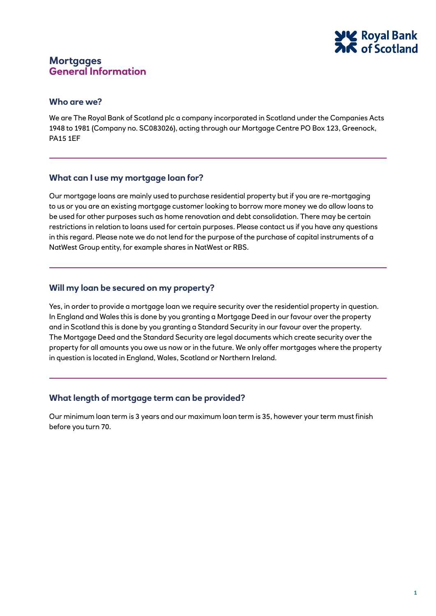

### **Who are we?**

We are The Royal Bank of Scotland plc a company incorporated in Scotland under the Companies Acts 1948 to 1981 (Company no. SC083026), acting through our Mortgage Centre PO Box 123, Greenock, PA15 1EF

### **What can I use my mortgage loan for?**

Our mortgage loans are mainly used to purchase residential property but if you are re-mortgaging to us or you are an existing mortgage customer looking to borrow more money we do allow loans to be used for other purposes such as home renovation and debt consolidation. There may be certain restrictions in relation to loans used for certain purposes. Please contact us if you have any questions in this regard. Please note we do not lend for the purpose of the purchase of capital instruments of a NatWest Group entity, for example shares in NatWest or RBS.

### **Will my loan be secured on my property?**

Yes, in order to provide a mortgage loan we require security over the residential property in question. In England and Wales this is done by you granting a Mortgage Deed in our favour over the property and in Scotland this is done by you granting a Standard Security in our favour over the property. The Mortgage Deed and the Standard Security are legal documents which create security over the property for all amounts you owe us now or in the future. We only offer mortgages where the property in question is located in England, Wales, Scotland or Northern Ireland.

## **What length of mortgage term can be provided?**

Our minimum loan term is 3 years and our maximum loan term is 35, however your term must finish before you turn 70.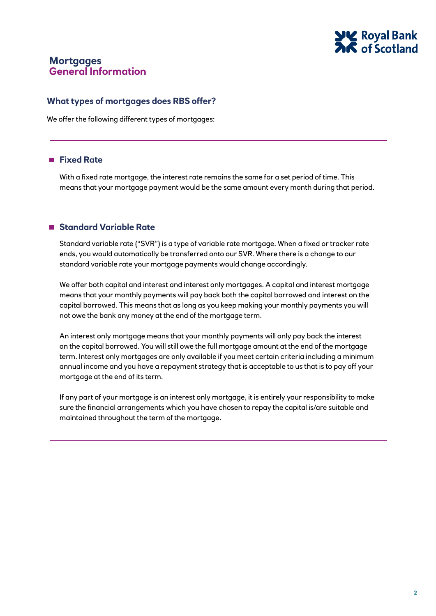

## **What types of mortgages does RBS offer?**

We offer the following different types of mortgages:

## **Fixed Rate**

With a fixed rate mortgage, the interest rate remains the same for a set period of time. This means that your mortgage payment would be the same amount every month during that period.

## **Standard Variable Rate**

Standard variable rate ("SVR") is a type of variable rate mortgage. When a fixed or tracker rate ends, you would automatically be transferred onto our SVR. Where there is a change to our standard variable rate your mortgage payments would change accordingly.

We offer both capital and interest and interest only mortgages. A capital and interest mortgage means that your monthly payments will pay back both the capital borrowed and interest on the capital borrowed. This means that as long as you keep making your monthly payments you will not owe the bank any money at the end of the mortgage term.

An interest only mortgage means that your monthly payments will only pay back the interest on the capital borrowed. You will still owe the full mortgage amount at the end of the mortgage term. Interest only mortgages are only available if you meet certain criteria including a minimum annual income and you have a repayment strategy that is acceptable to us that is to pay off your mortgage at the end of its term.

If any part of your mortgage is an interest only mortgage, it is entirely your responsibility to make sure the financial arrangements which you have chosen to repay the capital is/are suitable and maintained throughout the term of the mortgage.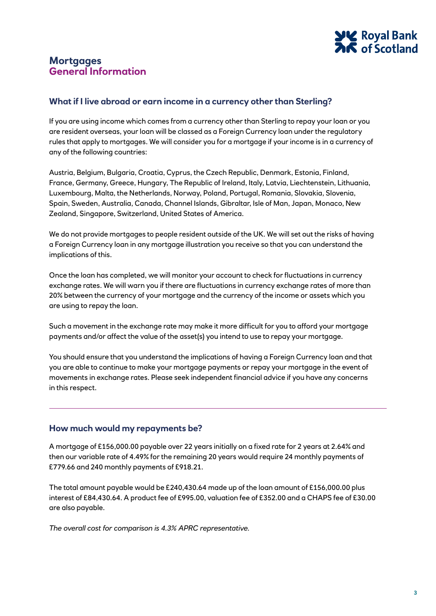

## **What if I live abroad or earn income in a currency other than Sterling?**

If you are using income which comes from a currency other than Sterling to repay your loan or you are resident overseas, your loan will be classed as a Foreign Currency loan under the regulatory rules that apply to mortgages. We will consider you for a mortgage if your income is in a currency of any of the following countries:

Austria, Belgium, Bulgaria, Croatia, Cyprus, the Czech Republic, Denmark, Estonia, Finland, France, Germany, Greece, Hungary, The Republic of Ireland, Italy, Latvia, Liechtenstein, Lithuania, Luxembourg, Malta, the Netherlands, Norway, Poland, Portugal, Romania, Slovakia, Slovenia, Spain, Sweden, Australia, Canada, Channel Islands, Gibraltar, Isle of Man, Japan, Monaco, New Zealand, Singapore, Switzerland, United States of America.

We do not provide mortgages to people resident outside of the UK. We will set out the risks of having a Foreign Currency loan in any mortgage illustration you receive so that you can understand the implications of this.

Once the loan has completed, we will monitor your account to check for fluctuations in currency exchange rates. We will warn you if there are fluctuations in currency exchange rates of more than 20% between the currency of your mortgage and the currency of the income or assets which you are using to repay the loan.

Such a movement in the exchange rate may make it more difficult for you to afford your mortgage payments and/or affect the value of the asset(s) you intend to use to repay your mortgage.

You should ensure that you understand the implications of having a Foreign Currency loan and that you are able to continue to make your mortgage payments or repay your mortgage in the event of movements in exchange rates. Please seek independent financial advice if you have any concerns in this respect.

## **How much would my repayments be?**

A mortgage of £156,000.00 payable over 22 years initially on a fixed rate for 2 years at 2.64% and then our variable rate of 4.49% for the remaining 20 years would require 24 monthly payments of £779.66 and 240 monthly payments of £918.21.

The total amount payable would be £240,430.64 made up of the loan amount of £156,000.00 plus interest of £84,430.64. A product fee of £995.00, valuation fee of £352.00 and a CHAPS fee of £30.00 are also payable.

*The overall cost for comparison is 4.3% APRC representative.*